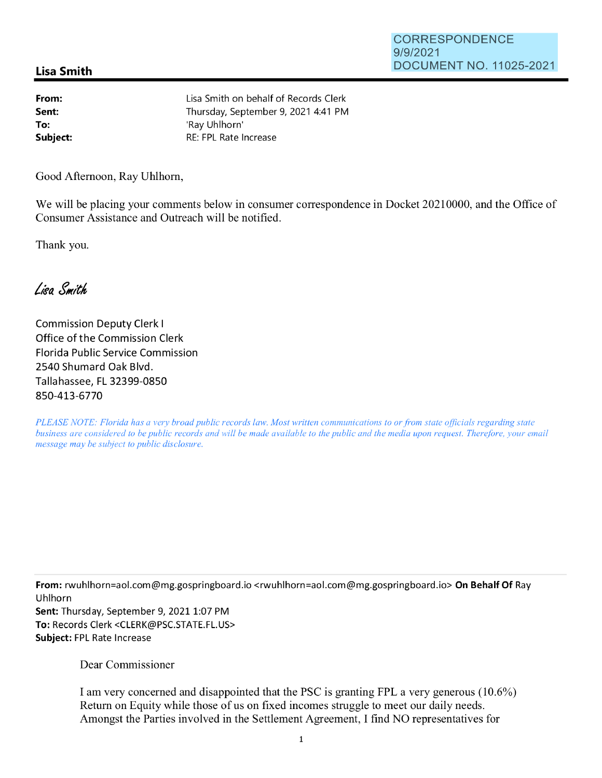## **Lisa Smith**

**From: Sent: To: Subject:**  Lisa Smith on behalf of Records Clerk Thursday, September 9, 2021 4:41 PM 'Ray Uhlhorn' RE: FPL Rate Increase

Good Afternoon, Ray Uhlhorn,

We will be placing your comments below in consumer correspondence in Docket 20210000, and the Office of Consumer Assistance and Outreach will be notified.

Thank you.

Lisa Smith

Commission Deputy Clerk I Office of the Commission Clerk Florida Public Service Commission 2540 Shumard Oak Blvd. Tallahassee, FL 32399-0850 850-413-6770

*PLEASE NOTE: Florida has a very broad public records law. Most written communications to or from state officials regarding state business are considered to be public records and will be made available to the public and the media upon request. Therefore, your email message may be subject to public disclosure.* 

**From:** rwuhlhorn=aol.com@mg.gospringboard.io <rwuhlhorn=aol.com@mg.gospringboard.io> **On Behalf Of** Ray Uhlhorn Sent: Thursday, September 9, 2021 1:07 PM **To:** Records Clerk <CLERK@PSC.STATE.FL.US> **Subject:** FPL Rate Increase

Dear Commissioner

I am very concerned and disappointed that the PSC is granting FPL a very generous (10.6%) Return on Equity while those of us on fixed incomes struggle to meet our daily needs. Amongst the Parties involved in the Settlement Agreement, I find NO representatives for